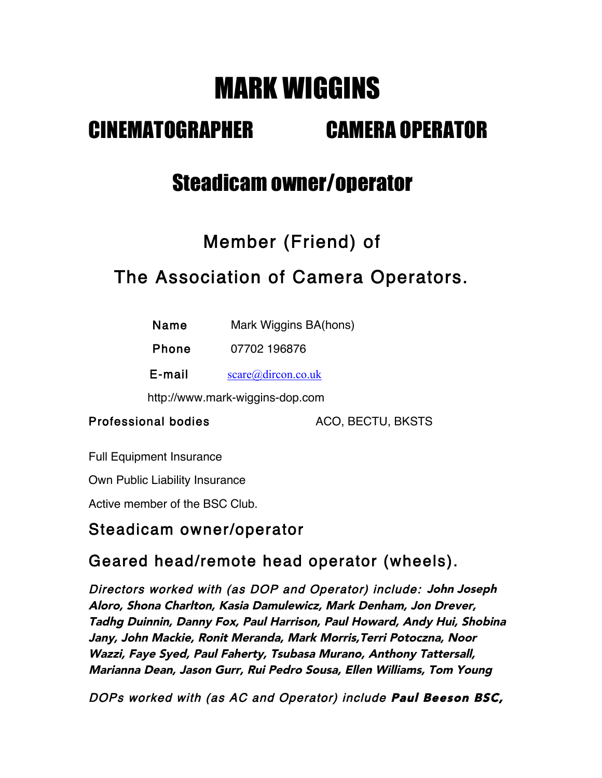# MARK WIGGINS

# CINEMATOGRAPHER CAMERA OPERATOR

# Steadicam owner/operator

# Member (Friend) of

## The Association of Camera Operators.

| Name         | Mark Wiggins BA(hons)           |  |
|--------------|---------------------------------|--|
| <b>Phone</b> | 07702 196876                    |  |
| E-mail       | $\text{score}(a)$ dircon.co.uk  |  |
|              | http://www.mark-wiggins-dop.com |  |

Professional bodies ACO, BECTU, BKSTS

Full Equipment Insurance

Own Public Liability Insurance

Active member of the BSC Club.

### Steadicam owner/operator

### Geared head/remote head operator (wheels).

Directors worked with (as DOP and Operator) include: John Joseph Aloro, Shona Charlton, Kasia Damulewicz, Mark Denham, Jon Drever, Tadhg Duinnin, Danny Fox, Paul Harrison, Paul Howard, Andy Hui, Shobina Jany, John Mackie, Ronit Meranda, Mark Morris,Terri Potoczna, Noor Wazzi, Faye Syed, Paul Faherty, Tsubasa Murano, Anthony Tattersall, Marianna Dean, Jason Gurr, Rui Pedro Sousa, Ellen Williams, Tom Young

DOPs worked with (as AC and Operator) include Paul Beeson BSC,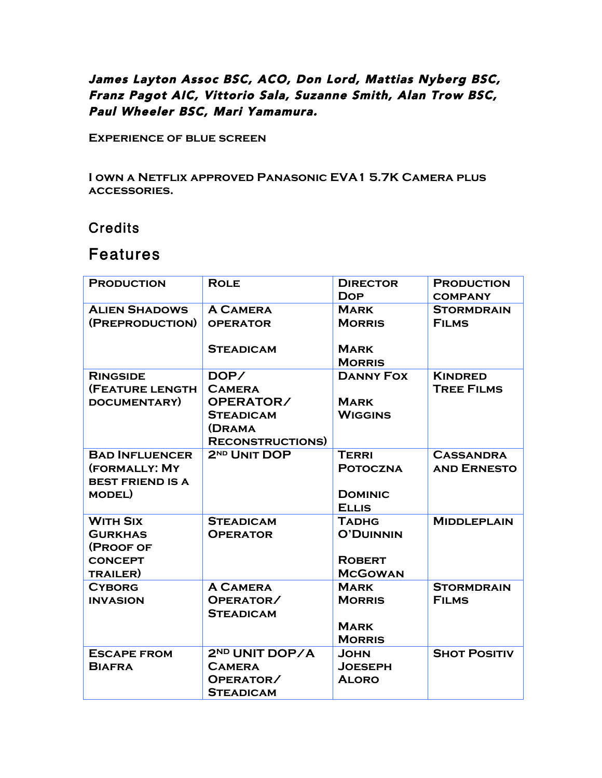### James Layton Assoc BSC, ACO, Don Lord, Mattias Nyberg BSC, Franz Pagot AIC, Vittorio Sala, Suzanne Smith, Alan Trow BSC, Paul Wheeler BSC, Mari Yamamura.

**Experience of blue screen**

**I own a Netflix approved Panasonic EVA1 5.7K Camera plus accessories.**

#### **Credits**

### Features

| <b>PRODUCTION</b>                                                                   | <b>ROLE</b>                                                                                       | <b>DIRECTOR</b><br><b>DOP</b>                                       | <b>PRODUCTION</b><br><b>COMPANY</b>    |
|-------------------------------------------------------------------------------------|---------------------------------------------------------------------------------------------------|---------------------------------------------------------------------|----------------------------------------|
| <b>ALIEN SHADOWS</b><br>(PREPRODUCTION)                                             | <b>A CAMERA</b><br><b>OPERATOR</b><br><b>STEADICAM</b>                                            | <b>MARK</b><br><b>MORRIS</b><br><b>MARK</b><br><b>MORRIS</b>        | <b>STORMDRAIN</b><br><b>FILMS</b>      |
| <b>RINGSIDE</b><br>(FEATURE LENGTH<br>DOCUMENTARY)                                  | DOP/<br><b>CAMERA</b><br>OPERATOR/<br><b>STEADICAM</b><br><b>(DRAMA</b><br><b>RECONSTRUCTIONS</b> | <b>DANNY FOX</b><br><b>MARK</b><br><b>WIGGINS</b>                   | <b>KINDRED</b><br><b>TREE FILMS</b>    |
| <b>BAD INFLUENCER</b><br>(FORMALLY: MY<br><b>BEST FRIEND IS A</b><br><b>MODEL</b> ) | 2 <sup>ND</sup> UNIT DOP                                                                          | <b>TERRI</b><br><b>POTOCZNA</b><br><b>DOMINIC</b><br><b>ELLIS</b>   | <b>CASSANDRA</b><br><b>AND ERNESTO</b> |
| <b>WITH SIX</b><br><b>GURKHAS</b><br>(PROOF OF<br><b>CONCEPT</b><br><b>TRAILER)</b> | <b>STEADICAM</b><br><b>OPERATOR</b>                                                               | <b>TADHG</b><br><b>O'DUINNIN</b><br><b>ROBERT</b><br><b>MCGOWAN</b> | <b>MIDDLEPLAIN</b>                     |
| <b>CYBORG</b><br><b>INVASION</b>                                                    | <b>A CAMERA</b><br>OPERATOR/<br><b>STEADICAM</b>                                                  | <b>MARK</b><br><b>MORRIS</b><br><b>MARK</b><br><b>MORRIS</b>        | <b>STORMDRAIN</b><br><b>FILMS</b>      |
| <b>ESCAPE FROM</b><br><b>BIAFRA</b>                                                 | 2ND UNIT DOP/A<br><b>CAMERA</b><br>OPERATOR/<br><b>STEADICAM</b>                                  | <b>JOHN</b><br><b>JOESEPH</b><br><b>ALORO</b>                       | <b>SHOT POSITIV</b>                    |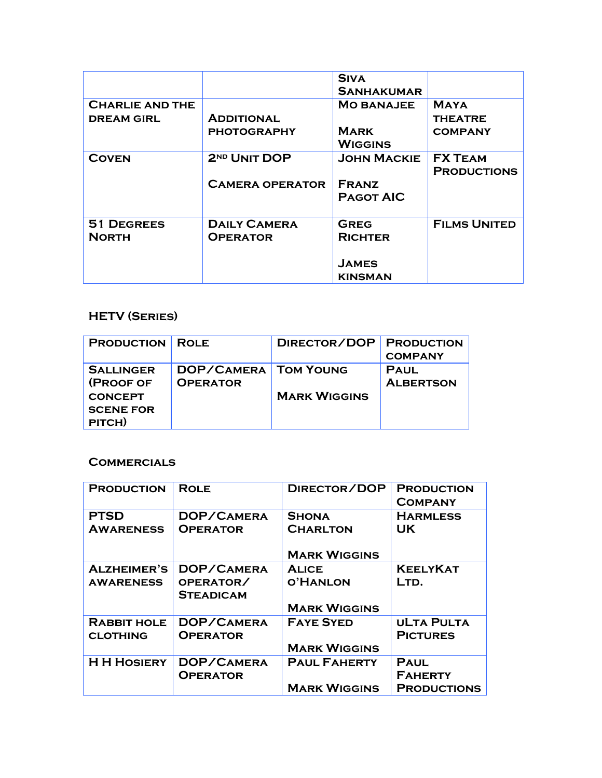|                   |                          | <b>SIVA</b>        |                     |
|-------------------|--------------------------|--------------------|---------------------|
|                   |                          | <b>SANHAKUMAR</b>  |                     |
| CHARLIE AND THE   |                          | <b>MO BANAJEE</b>  | <b>MAYA</b>         |
| <b>DREAM GIRL</b> | <b>ADDITIONAL</b>        |                    | <b>THEATRE</b>      |
|                   | <b>PHOTOGRAPHY</b>       | <b>MARK</b>        | <b>COMPANY</b>      |
|                   |                          | WIGGINS            |                     |
| <b>COVEN</b>      | 2 <sup>ND</sup> UNIT DOP | <b>JOHN MACKIE</b> | <b>FX TEAM</b>      |
|                   |                          |                    | <b>PRODUCTIONS</b>  |
|                   | <b>CAMERA OPERATOR</b>   | <b>FRANZ</b>       |                     |
|                   |                          | <b>PAGOT AIC</b>   |                     |
|                   |                          |                    |                     |
| <b>51 DEGREES</b> | <b>DAILY CAMERA</b>      | <b>GREG</b>        | <b>FILMS UNITED</b> |
| <b>NORTH</b>      | <b>OPERATOR</b>          | <b>RICHTER</b>     |                     |
|                   |                          |                    |                     |
|                   |                          | <b>JAMES</b>       |                     |
|                   |                          | KINSMAN            |                     |

#### **HETV (Series)**

| <b>PRODUCTION ROLE</b> |                             | DIRECTOR/DOP   PRODUCTION |                  |
|------------------------|-----------------------------|---------------------------|------------------|
|                        |                             |                           | <b>COMPANY</b>   |
| <b>SALLINGER</b>       | <b>DOP/CAMERA TOM YOUNG</b> |                           | <b>PAUL</b>      |
| (PROOF OF              | <b>OPERATOR</b>             |                           | <b>ALBERTSON</b> |
| <b>CONCEPT</b>         |                             | <b>MARK WIGGINS</b>       |                  |
| <b>SCENE FOR</b>       |                             |                           |                  |
| PITCH)                 |                             |                           |                  |

#### **Commercials**

| <b>PRODUCTION</b>                      | <b>ROLE</b>                                 | DIRECTOR/DOP                                           | <b>PRODUCTION</b><br><b>COMPANY</b>                 |
|----------------------------------------|---------------------------------------------|--------------------------------------------------------|-----------------------------------------------------|
| <b>PTSD</b><br><b>AWARENESS</b>        | DOP/CAMERA<br><b>OPERATOR</b>               | <b>SHONA</b><br><b>CHARLTON</b><br><b>MARK WIGGINS</b> | <b>HARMLESS</b><br><b>UK</b>                        |
| <b>ALZHEIMER'S</b><br><b>AWARENESS</b> | DOP/CAMERA<br>OPERATOR/<br><b>STEADICAM</b> | <b>ALICE</b><br><b>O'HANLON</b><br><b>MARK WIGGINS</b> | <b>KEELYKAT</b><br>LTD.                             |
| <b>RABBIT HOLE</b><br><b>CLOTHING</b>  | DOP/CAMERA<br><b>OPERATOR</b>               | <b>FAYE SYED</b><br><b>MARK WIGGINS</b>                | <b>ULTA PULTA</b><br><b>PICTURES</b>                |
| <b>H H HOSIERY</b>                     | DOP/CAMERA<br><b>OPERATOR</b>               | <b>PAUL FAHERTY</b><br><b>MARK WIGGINS</b>             | <b>PAUL</b><br><b>FAHERTY</b><br><b>PRODUCTIONS</b> |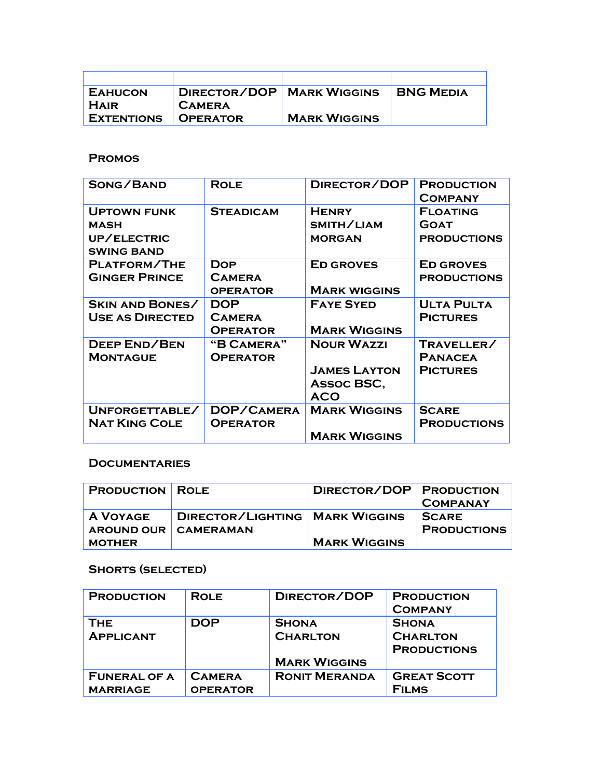| <b>EAHUCON</b>    | <b>DIRECTOR/DOP   MARK WIGGINS</b> |                     | <b>BNG MEDIA</b> |
|-------------------|------------------------------------|---------------------|------------------|
| <b>HAIR</b>       | <b>CAMERA</b>                      |                     |                  |
| <b>EXTENTIONS</b> | <b>OPERATOR</b>                    | <b>MARK WIGGINS</b> |                  |

#### **Promos**

| SONG/BAND                                                             | <b>ROLE</b>                                    | DIRECTOR/DOP                                                         | <b>PRODUCTION</b><br><b>COMPANY</b>                  |
|-----------------------------------------------------------------------|------------------------------------------------|----------------------------------------------------------------------|------------------------------------------------------|
| <b>UPTOWN FUNK</b><br><b>MASH</b><br>UP/ELECTRIC<br><b>SWING BAND</b> | <b>STEADICAM</b>                               | <b>HENRY</b><br>SMITH/LIAM<br><b>MORGAN</b>                          | <b>FLOATING</b><br><b>GOAT</b><br><b>PRODUCTIONS</b> |
| PLATFORM/THE<br><b>GINGER PRINCE</b>                                  | <b>DOP</b><br><b>CAMERA</b><br><b>OPERATOR</b> | <b>ED GROVES</b><br><b>MARK WIGGINS</b>                              | <b>ED GROVES</b><br><b>PRODUCTIONS</b>               |
| <b>SKIN AND BONES/</b><br><b>USE AS DIRECTED</b>                      | <b>DOP</b><br><b>CAMERA</b><br><b>OPERATOR</b> | <b>FAYE SYED</b><br><b>MARK WIGGINS</b>                              | <b>ULTA PULTA</b><br><b>PICTURES</b>                 |
| <b>DEEP END/BEN</b><br><b>MONTAGUE</b>                                | "B CAMERA"<br><b>OPERATOR</b>                  | <b>NOUR WAZZI</b><br><b>JAMES LAYTON</b><br>Assoc BSC,<br><b>ACO</b> | TRAVELLER/<br><b>PANACEA</b><br><b>PICTURES</b>      |
| UNFORGETTABLE/<br><b>NAT KING COLE</b>                                | DOP/CAMERA<br><b>OPERATOR</b>                  | <b>MARK WIGGINS</b><br><b>MARK WIGGINS</b>                           | <b>SCARE</b><br><b>PRODUCTIONS</b>                   |

#### **Documentaries**

| <b>PRODUCTION ROLE</b> |                                  | DIRECTOR/DOP PRODUCTION |                    |
|------------------------|----------------------------------|-------------------------|--------------------|
|                        |                                  |                         | <b>COMPANAY</b>    |
| A VOYAGE               | DIRECTOR/LIGHTING   MARK WIGGINS |                         | <b>SCARE</b>       |
| AROUND OUR CAMERAMAN   |                                  |                         | <b>PRODUCTIONS</b> |
| <b>MOTHER</b>          |                                  | <b>MARK WIGGINS</b>     |                    |

#### **Shorts (selected)**

| <b>PRODUCTION</b>   | <b>ROLE</b>     | DIRECTOR/DOP         | <b>PRODUCTION</b><br><b>COMPANY</b> |
|---------------------|-----------------|----------------------|-------------------------------------|
| <b>THE</b>          | DOP             | <b>SHONA</b>         | <b>SHONA</b>                        |
| <b>APPLICANT</b>    |                 | <b>CHARLTON</b>      | <b>CHARLTON</b>                     |
|                     |                 |                      | <b>PRODUCTIONS</b>                  |
|                     |                 | <b>MARK WIGGINS</b>  |                                     |
| <b>FUNERAL OF A</b> | <b>CAMERA</b>   | <b>RONIT MERANDA</b> | <b>GREAT SCOTT</b>                  |
| <b>MARRIAGE</b>     | <b>OPERATOR</b> |                      | <b>FILMS</b>                        |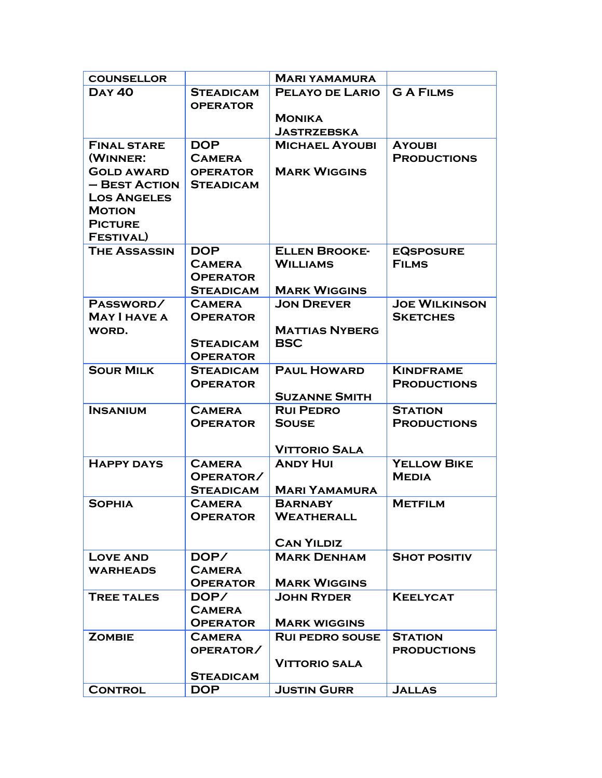| <b>COUNSELLOR</b>                   |                                  | <b>MARI YAMAMURA</b>                     |                                      |
|-------------------------------------|----------------------------------|------------------------------------------|--------------------------------------|
| <b>DAY 40</b>                       | <b>STEADICAM</b>                 | <b>PELAYO DE LARIO</b>                   | <b>GAFILMS</b>                       |
|                                     | <b>OPERATOR</b>                  |                                          |                                      |
|                                     |                                  | <b>MONIKA</b>                            |                                      |
|                                     |                                  | <b>JASTRZEBSKA</b>                       |                                      |
| <b>FINAL STARE</b>                  | <b>DOP</b>                       | <b>MICHAEL AYOUBI</b>                    | <b>AYOUBI</b>                        |
| (WINNER:                            | <b>CAMERA</b>                    |                                          | <b>PRODUCTIONS</b>                   |
| <b>GOLD AWARD</b>                   | <b>OPERATOR</b>                  | <b>MARK WIGGINS</b>                      |                                      |
| - BEST ACTION<br><b>LOS ANGELES</b> | <b>STEADICAM</b>                 |                                          |                                      |
| <b>MOTION</b>                       |                                  |                                          |                                      |
| <b>PICTURE</b>                      |                                  |                                          |                                      |
| <b>FESTIVAL)</b>                    |                                  |                                          |                                      |
| <b>THE ASSASSIN</b>                 | <b>DOP</b>                       | <b>ELLEN BROOKE-</b>                     | <b>EQSPOSURE</b>                     |
|                                     | <b>CAMERA</b>                    | <b>WILLIAMS</b>                          | <b>FILMS</b>                         |
|                                     | <b>OPERATOR</b>                  |                                          |                                      |
|                                     | <b>STEADICAM</b>                 | <b>MARK WIGGINS</b>                      |                                      |
| PASSWORD/                           | <b>CAMERA</b>                    | <b>JON DREVER</b>                        | <b>JOE WILKINSON</b>                 |
| <b>MAY I HAVE A</b>                 | <b>OPERATOR</b>                  |                                          | <b>SKETCHES</b>                      |
| <b>WORD.</b>                        |                                  | <b>MATTIAS NYBERG</b>                    |                                      |
|                                     | <b>STEADICAM</b>                 | <b>BSC</b>                               |                                      |
|                                     | <b>OPERATOR</b>                  |                                          |                                      |
| <b>SOUR MILK</b>                    | <b>STEADICAM</b>                 | <b>PAUL HOWARD</b>                       | <b>KINDFRAME</b>                     |
|                                     | <b>OPERATOR</b>                  |                                          | <b>PRODUCTIONS</b>                   |
|                                     |                                  | <b>SUZANNE SMITH</b><br><b>RUI PEDRO</b> |                                      |
| <b>INSANIUM</b>                     | <b>CAMERA</b><br><b>OPERATOR</b> | <b>SOUSE</b>                             | <b>STATION</b><br><b>PRODUCTIONS</b> |
|                                     |                                  |                                          |                                      |
|                                     |                                  | <b>VITTORIO SALA</b>                     |                                      |
| <b>HAPPY DAYS</b>                   | <b>CAMERA</b>                    | <b>ANDY HUI</b>                          | <b>YELLOW BIKE</b>                   |
|                                     | OPERATOR/                        |                                          | <b>MEDIA</b>                         |
|                                     | <b>STEADICAM</b>                 | <b>MARI YAMAMURA</b>                     |                                      |
| <b>SOPHIA</b>                       | <b>CAMERA</b>                    | <b>BARNABY</b>                           | <b>METFILM</b>                       |
|                                     | <b>OPERATOR</b>                  | <b>WEATHERALL</b>                        |                                      |
|                                     |                                  |                                          |                                      |
|                                     |                                  | <b>CAN YILDIZ</b>                        |                                      |
| LOVE AND                            | DOP/                             | <b>MARK DENHAM</b>                       | <b>SHOT POSITIV</b>                  |
| <b>WARHEADS</b>                     | <b>CAMERA</b>                    |                                          |                                      |
|                                     | <b>OPERATOR</b>                  | <b>MARK WIGGINS</b>                      |                                      |
| <b>TREE TALES</b>                   | DOP/<br><b>CAMERA</b>            | <b>JOHN RYDER</b>                        | <b>KEELYCAT</b>                      |
|                                     | <b>OPERATOR</b>                  | <b>MARK WIGGINS</b>                      |                                      |
| <b>ZOMBIE</b>                       | <b>CAMERA</b>                    | <b>RUI PEDRO SOUSE</b>                   | <b>STATION</b>                       |
|                                     | OPERATOR/                        |                                          | <b>PRODUCTIONS</b>                   |
|                                     |                                  | <b>VITTORIO SALA</b>                     |                                      |
|                                     | <b>STEADICAM</b>                 |                                          |                                      |
| <b>CONTROL</b>                      | <b>DOP</b>                       | <b>JUSTIN GURR</b>                       | JALLAS                               |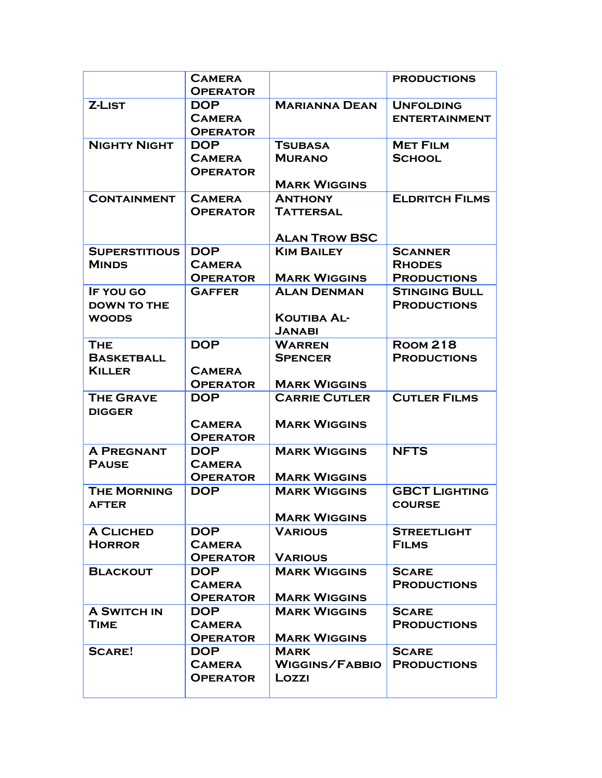|                                    | <b>CAMERA</b><br><b>OPERATOR</b> |                      | <b>PRODUCTIONS</b>                         |
|------------------------------------|----------------------------------|----------------------|--------------------------------------------|
| <b>Z-LIST</b>                      | <b>DOP</b>                       | <b>MARIANNA DEAN</b> | <b>UNFOLDING</b>                           |
|                                    | <b>CAMERA</b>                    |                      | <b>ENTERTAINMENT</b>                       |
|                                    | <b>OPERATOR</b>                  |                      |                                            |
| <b>NIGHTY NIGHT</b>                | <b>DOP</b>                       | <b>TSUBASA</b>       | <b>MET FILM</b>                            |
|                                    | <b>CAMERA</b>                    | <b>MURANO</b>        | <b>SCHOOL</b>                              |
|                                    | <b>OPERATOR</b>                  |                      |                                            |
|                                    |                                  | <b>MARK WIGGINS</b>  |                                            |
| <b>CONTAINMENT</b>                 | <b>CAMERA</b>                    | <b>ANTHONY</b>       | <b>ELDRITCH FILMS</b>                      |
|                                    | <b>OPERATOR</b>                  | <b>TATTERSAL</b>     |                                            |
|                                    |                                  |                      |                                            |
|                                    |                                  | <b>ALAN TROW BSC</b> |                                            |
| <b>SUPERSTITIOUS</b>               | <b>DOP</b>                       | <b>KIM BAILEY</b>    | <b>SCANNER</b>                             |
| <b>MINDS</b>                       | <b>CAMERA</b>                    |                      | <b>RHODES</b>                              |
|                                    | <b>OPERATOR</b>                  | <b>MARK WIGGINS</b>  | <b>PRODUCTIONS</b>                         |
| IF YOU GO                          | <b>GAFFER</b>                    | <b>ALAN DENMAN</b>   | <b>STINGING BULL</b><br><b>PRODUCTIONS</b> |
| <b>DOWN TO THE</b><br><b>WOODS</b> |                                  | <b>KOUTIBA AL-</b>   |                                            |
|                                    |                                  | <b>JANABI</b>        |                                            |
| <b>THE</b>                         | <b>DOP</b>                       | <b>WARREN</b>        | <b>ROOM 218</b>                            |
| <b>BASKETBALL</b>                  |                                  | <b>SPENCER</b>       | <b>PRODUCTIONS</b>                         |
| <b>KILLER</b>                      | <b>CAMERA</b>                    |                      |                                            |
|                                    | <b>OPERATOR</b>                  | <b>MARK WIGGINS</b>  |                                            |
| <b>THE GRAVE</b>                   | <b>DOP</b>                       | <b>CARRIE CUTLER</b> | <b>CUTLER FILMS</b>                        |
| <b>DIGGER</b>                      |                                  |                      |                                            |
|                                    | <b>CAMERA</b>                    | <b>MARK WIGGINS</b>  |                                            |
|                                    | <b>OPERATOR</b>                  |                      |                                            |
| <b>A PREGNANT</b>                  | <b>DOP</b>                       | <b>MARK WIGGINS</b>  | <b>NFTS</b>                                |
| <b>PAUSE</b>                       | <b>CAMERA</b>                    |                      |                                            |
|                                    | <b>OPERATOR</b>                  | <b>MARK WIGGINS</b>  |                                            |
| <b>THE MORNING</b>                 | <b>DOP</b>                       | <b>MARK WIGGINS</b>  | <b>GBCT LIGHTING</b>                       |
| <b>AFTER</b>                       |                                  |                      | <b>COURSE</b>                              |
|                                    |                                  | <b>MARK WIGGINS</b>  |                                            |
| <b>A CLICHED</b><br><b>HORROR</b>  | <b>DOP</b><br><b>CAMERA</b>      | <b>VARIOUS</b>       | <b>STREETLIGHT</b><br><b>FILMS</b>         |
|                                    | <b>OPERATOR</b>                  | <b>VARIOUS</b>       |                                            |
| <b>BLACKOUT</b>                    | <b>DOP</b>                       | <b>MARK WIGGINS</b>  | <b>SCARE</b>                               |
|                                    | <b>CAMERA</b>                    |                      | <b>PRODUCTIONS</b>                         |
|                                    | <b>OPERATOR</b>                  | <b>MARK WIGGINS</b>  |                                            |
| <b>A SWITCH IN</b>                 | <b>DOP</b>                       | <b>MARK WIGGINS</b>  | <b>SCARE</b>                               |
| <b>TIME</b>                        | <b>CAMERA</b>                    |                      | <b>PRODUCTIONS</b>                         |
|                                    | <b>OPERATOR</b>                  | <b>MARK WIGGINS</b>  |                                            |
| <b>SCARE!</b>                      | <b>DOP</b>                       | <b>MARK</b>          | <b>SCARE</b>                               |
|                                    | <b>CAMERA</b>                    | WIGGINS/FABBIO       | <b>PRODUCTIONS</b>                         |
|                                    | <b>OPERATOR</b>                  | Lozzi                |                                            |
|                                    |                                  |                      |                                            |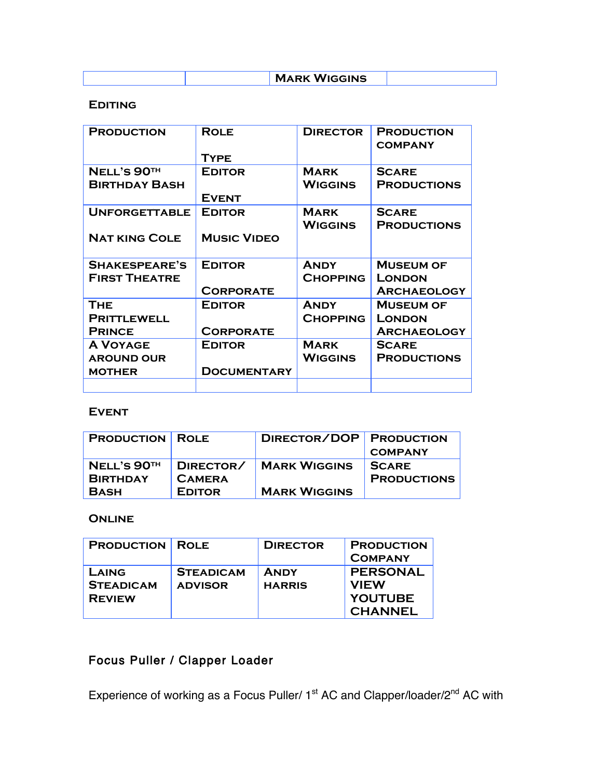|  | <b>MARK WIGGINS</b> |  |
|--|---------------------|--|

#### **Editing**

| <b>PRODUCTION</b>                            | <b>ROLE</b><br>TYPE                 | <b>DIRECTOR</b>                | <b>PRODUCTION</b><br><b>COMPANY</b>                     |
|----------------------------------------------|-------------------------------------|--------------------------------|---------------------------------------------------------|
| NELL'S 90TH<br><b>BIRTHDAY BASH</b>          | <b>EDITOR</b><br><b>EVENT</b>       | <b>MARK</b><br><b>WIGGINS</b>  | <b>SCARE</b><br><b>PRODUCTIONS</b>                      |
| <b>UNFORGETTABLE</b><br><b>NAT KING COLE</b> | <b>EDITOR</b><br><b>MUSIC VIDEO</b> | <b>MARK</b><br><b>WIGGINS</b>  | <b>SCARE</b><br><b>PRODUCTIONS</b>                      |
|                                              |                                     |                                |                                                         |
| SHAKESPEARE'S<br><b>FIRST THEATRE</b>        | <b>EDITOR</b><br><b>CORPORATE</b>   | <b>ANDY</b><br><b>CHOPPING</b> | <b>MUSEUM OF</b><br><b>LONDON</b><br><b>ARCHAEOLOGY</b> |
| <b>THE</b>                                   | <b>EDITOR</b>                       | <b>ANDY</b>                    | <b>MUSEUM OF</b>                                        |
| <b>PRITTLEWELL</b><br><b>PRINCE</b>          | <b>CORPORATE</b>                    | <b>CHOPPING</b>                | <b>LONDON</b><br><b>ARCHAEOLOGY</b>                     |
| <b>A VOYAGE</b>                              | <b>EDITOR</b>                       | <b>MARK</b>                    | <b>SCARE</b>                                            |
| <b>AROUND OUR</b>                            |                                     | <b>WIGGINS</b>                 | <b>PRODUCTIONS</b>                                      |
| <b>MOTHER</b>                                | <b>DOCUMENTARY</b>                  |                                |                                                         |

#### **Event**

| <b>PRODUCTION   ROLE</b>  |               | DIRECTOR/DOP PRODUCTION |                    |
|---------------------------|---------------|-------------------------|--------------------|
|                           |               |                         | <b>COMPANY</b>     |
| $NELL'S$ 90 <sup>TH</sup> | DIRECTOR/     | <b>MARK WIGGINS</b>     | <b>SCARE</b>       |
| <b>BIRTHDAY</b>           | <b>CAMERA</b> |                         | <b>PRODUCTIONS</b> |
| <b>BASH</b>               | <b>EDITOR</b> | <b>MARK WIGGINS</b>     |                    |

#### **Online**

| <b>PRODUCTION ROLE</b>                     |                                    | <b>DIRECTOR</b>              | <b>PRODUCTION</b><br><b>COMPANY</b>                                |
|--------------------------------------------|------------------------------------|------------------------------|--------------------------------------------------------------------|
| LAING<br><b>STEADICAM</b><br><b>REVIEW</b> | <b>STEADICAM</b><br><b>ADVISOR</b> | <b>ANDY</b><br><b>HARRIS</b> | <b>PERSONAL</b><br><b>VIEW</b><br><b>YOUTUBE</b><br><b>CHANNEL</b> |

### Focus Puller / Clapper Loader

Experience of working as a Focus Puller/  $1<sup>st</sup>$  AC and Clapper/loader/ $2<sup>nd</sup>$  AC with